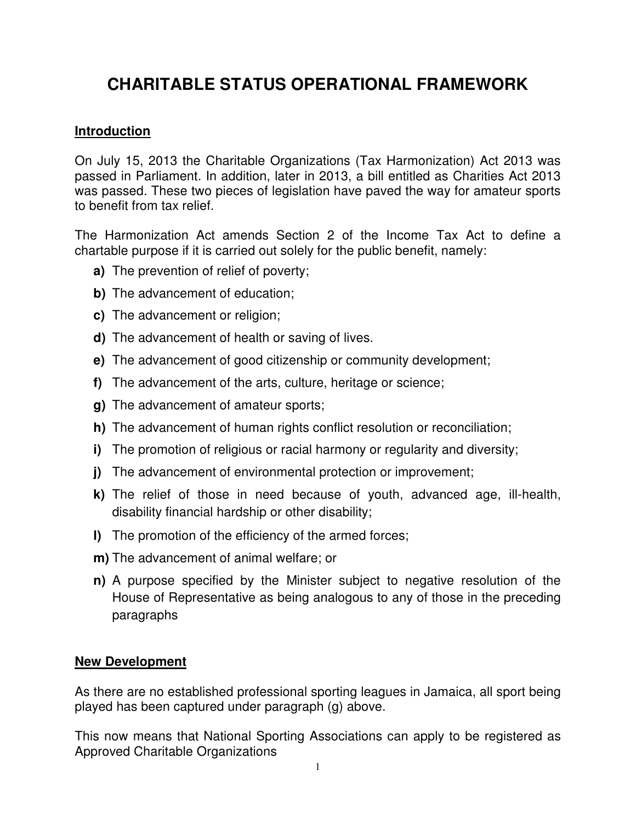# **CHARITABLE STATUS OPERATIONAL FRAMEWORK**

# **Introduction**

On July 15, 2013 the Charitable Organizations (Tax Harmonization) Act 2013 was passed in Parliament. In addition, later in 2013, a bill entitled as Charities Act 2013 was passed. These two pieces of legislation have paved the way for amateur sports to benefit from tax relief.

The Harmonization Act amends Section 2 of the Income Tax Act to define a chartable purpose if it is carried out solely for the public benefit, namely:

- **a)** The prevention of relief of poverty;
- **b)** The advancement of education;
- **c)** The advancement or religion;
- **d)** The advancement of health or saving of lives.
- **e)** The advancement of good citizenship or community development;
- **f)** The advancement of the arts, culture, heritage or science;
- **g)** The advancement of amateur sports;
- **h)** The advancement of human rights conflict resolution or reconciliation;
- **i)** The promotion of religious or racial harmony or regularity and diversity;
- **j)** The advancement of environmental protection or improvement;
- **k)** The relief of those in need because of youth, advanced age, ill-health, disability financial hardship or other disability;
- **l)** The promotion of the efficiency of the armed forces;
- **m)** The advancement of animal welfare; or
- **n)** A purpose specified by the Minister subject to negative resolution of the House of Representative as being analogous to any of those in the preceding paragraphs

## **New Development**

As there are no established professional sporting leagues in Jamaica, all sport being played has been captured under paragraph (g) above.

This now means that National Sporting Associations can apply to be registered as Approved Charitable Organizations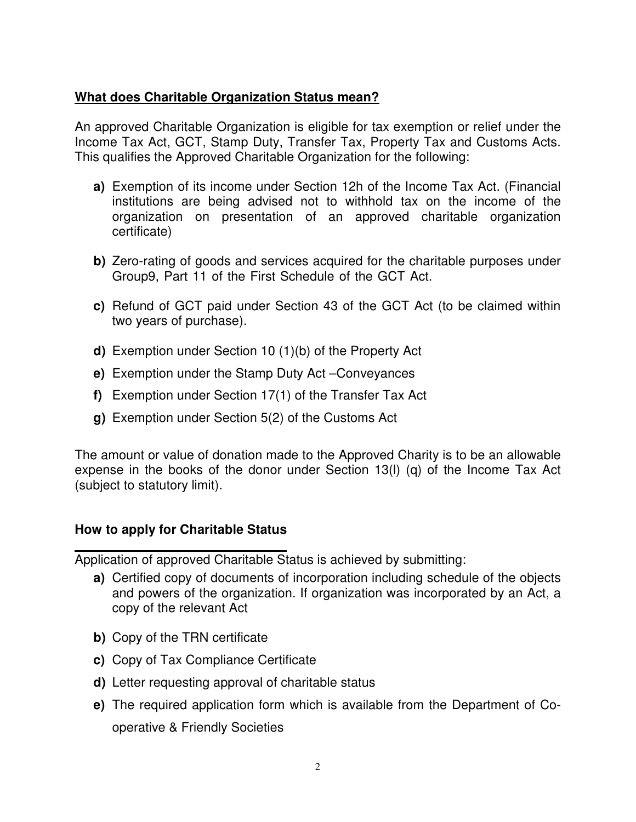# **What does Charitable Organization Status mean?**

An approved Charitable Organization is eligible for tax exemption or relief under the Income Tax Act, GCT, Stamp Duty, Transfer Tax, Property Tax and Customs Acts. This qualifies the Approved Charitable Organization for the following:

- **a)** Exemption of its income under Section 12h of the Income Tax Act. (Financial institutions are being advised not to withhold tax on the income of the organization on presentation of an approved charitable organization certificate)
- **b)** Zero-rating of goods and services acquired for the charitable purposes under Group9, Part 11 of the First Schedule of the GCT Act.
- **c)** Refund of GCT paid under Section 43 of the GCT Act (to be claimed within two years of purchase).
- **d)** Exemption under Section 10 (1)(b) of the Property Act
- **e)** Exemption under the Stamp Duty Act –Conveyances
- **f)** Exemption under Section 17(1) of the Transfer Tax Act
- **g)** Exemption under Section 5(2) of the Customs Act

The amount or value of donation made to the Approved Charity is to be an allowable expense in the books of the donor under Section 13(l) (q) of the Income Tax Act (subject to statutory limit).

# **How to apply for Charitable Status**

Application of approved Charitable Status is achieved by submitting:

- **a)** Certified copy of documents of incorporation including schedule of the objects and powers of the organization. If organization was incorporated by an Act, a copy of the relevant Act
- **b)** Copy of the TRN certificate
- **c)** Copy of Tax Compliance Certificate
- **d)** Letter requesting approval of charitable status
- **e)** The required application form which is available from the Department of Cooperative & Friendly Societies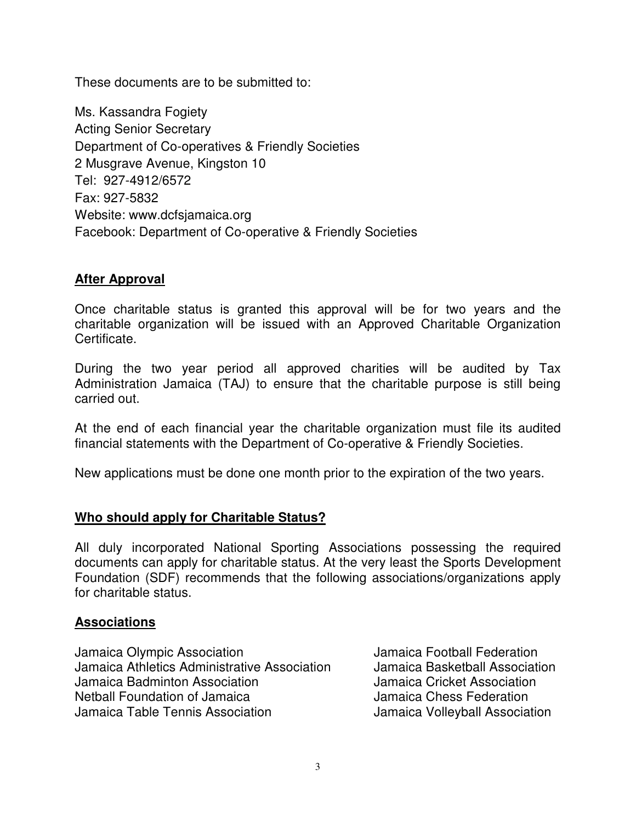These documents are to be submitted to:

Ms. Kassandra Fogiety Acting Senior Secretary Department of Co-operatives & Friendly Societies 2 Musgrave Avenue, Kingston 10 Tel: 927-4912/6572 Fax: 927-5832 Website: www.dcfsjamaica.org Facebook: Department of Co-operative & Friendly Societies

## **After Approval**

Once charitable status is granted this approval will be for two years and the charitable organization will be issued with an Approved Charitable Organization Certificate.

During the two year period all approved charities will be audited by Tax Administration Jamaica (TAJ) to ensure that the charitable purpose is still being carried out.

At the end of each financial year the charitable organization must file its audited financial statements with the Department of Co-operative & Friendly Societies.

New applications must be done one month prior to the expiration of the two years.

## **Who should apply for Charitable Status?**

All duly incorporated National Sporting Associations possessing the required documents can apply for charitable status. At the very least the Sports Development Foundation (SDF) recommends that the following associations/organizations apply for charitable status.

#### **Associations**

Jamaica Olympic Association Jamaica Football Federation Jamaica Athletics Administrative Association Jamaica Basketball Association Jamaica Badminton Association Jamaica Cricket Association Netball Foundation of Jamaica Jamaica Chess Federation Jamaica Table Tennis Association Jamaica Volleyball Association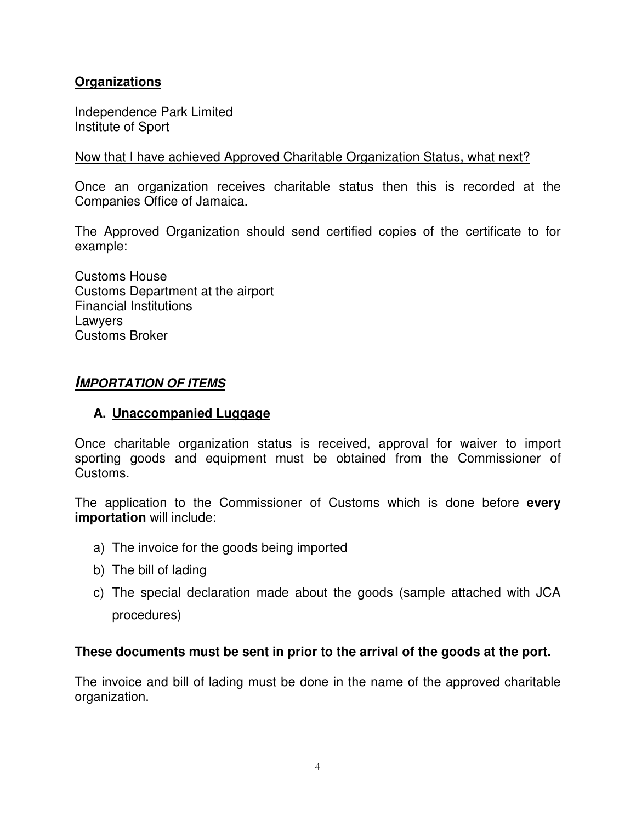# **Organizations**

Independence Park Limited Institute of Sport

#### Now that I have achieved Approved Charitable Organization Status, what next?

Once an organization receives charitable status then this is recorded at the Companies Office of Jamaica.

The Approved Organization should send certified copies of the certificate to for example:

Customs House Customs Department at the airport Financial Institutions Lawyers Customs Broker

## **IMPORTATION OF ITEMS**

#### **A. Unaccompanied Luggage**

Once charitable organization status is received, approval for waiver to import sporting goods and equipment must be obtained from the Commissioner of Customs.

The application to the Commissioner of Customs which is done before **every importation** will include:

- a) The invoice for the goods being imported
- b) The bill of lading
- c) The special declaration made about the goods (sample attached with JCA procedures)

#### **These documents must be sent in prior to the arrival of the goods at the port.**

The invoice and bill of lading must be done in the name of the approved charitable organization.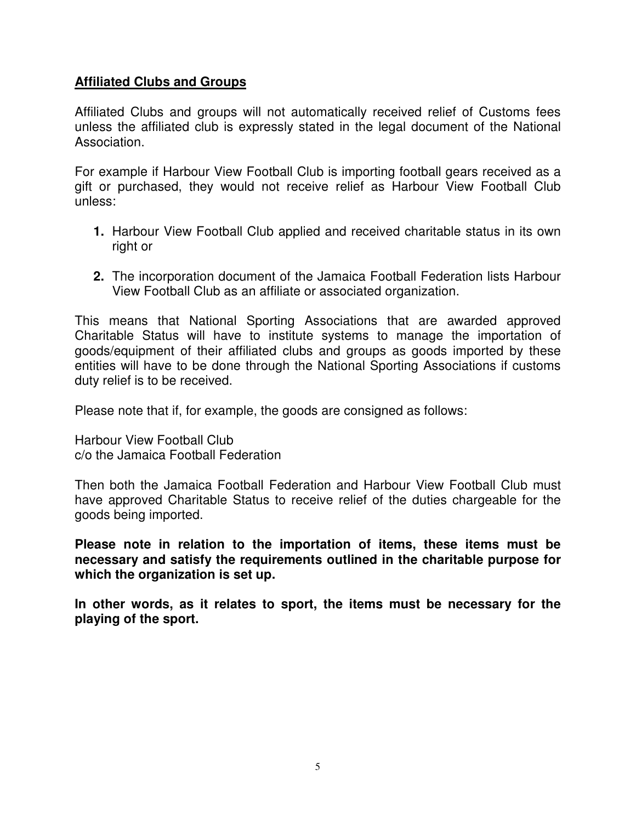## **Affiliated Clubs and Groups**

Affiliated Clubs and groups will not automatically received relief of Customs fees unless the affiliated club is expressly stated in the legal document of the National Association.

For example if Harbour View Football Club is importing football gears received as a gift or purchased, they would not receive relief as Harbour View Football Club unless:

- **1.** Harbour View Football Club applied and received charitable status in its own right or
- **2.** The incorporation document of the Jamaica Football Federation lists Harbour View Football Club as an affiliate or associated organization.

This means that National Sporting Associations that are awarded approved Charitable Status will have to institute systems to manage the importation of goods/equipment of their affiliated clubs and groups as goods imported by these entities will have to be done through the National Sporting Associations if customs duty relief is to be received.

Please note that if, for example, the goods are consigned as follows:

Harbour View Football Club c/o the Jamaica Football Federation

Then both the Jamaica Football Federation and Harbour View Football Club must have approved Charitable Status to receive relief of the duties chargeable for the goods being imported.

**Please note in relation to the importation of items, these items must be necessary and satisfy the requirements outlined in the charitable purpose for which the organization is set up.** 

**In other words, as it relates to sport, the items must be necessary for the playing of the sport.**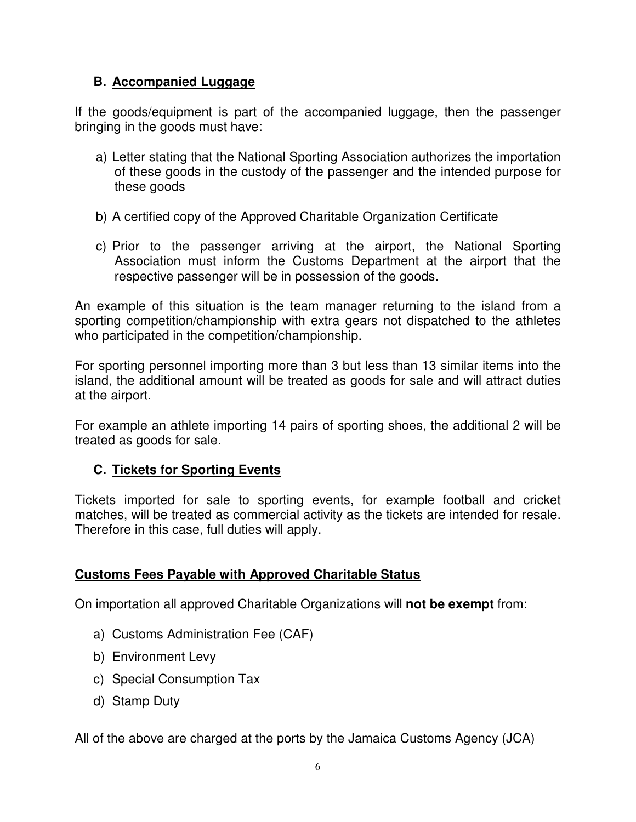# **B. Accompanied Luggage**

If the goods/equipment is part of the accompanied luggage, then the passenger bringing in the goods must have:

- a) Letter stating that the National Sporting Association authorizes the importation of these goods in the custody of the passenger and the intended purpose for these goods
- b) A certified copy of the Approved Charitable Organization Certificate
- c) Prior to the passenger arriving at the airport, the National Sporting Association must inform the Customs Department at the airport that the respective passenger will be in possession of the goods.

An example of this situation is the team manager returning to the island from a sporting competition/championship with extra gears not dispatched to the athletes who participated in the competition/championship.

For sporting personnel importing more than 3 but less than 13 similar items into the island, the additional amount will be treated as goods for sale and will attract duties at the airport.

For example an athlete importing 14 pairs of sporting shoes, the additional 2 will be treated as goods for sale.

# **C. Tickets for Sporting Events**

Tickets imported for sale to sporting events, for example football and cricket matches, will be treated as commercial activity as the tickets are intended for resale. Therefore in this case, full duties will apply.

# **Customs Fees Payable with Approved Charitable Status**

On importation all approved Charitable Organizations will **not be exempt** from:

- a) Customs Administration Fee (CAF)
- b) Environment Levy
- c) Special Consumption Tax
- d) Stamp Duty

All of the above are charged at the ports by the Jamaica Customs Agency (JCA)